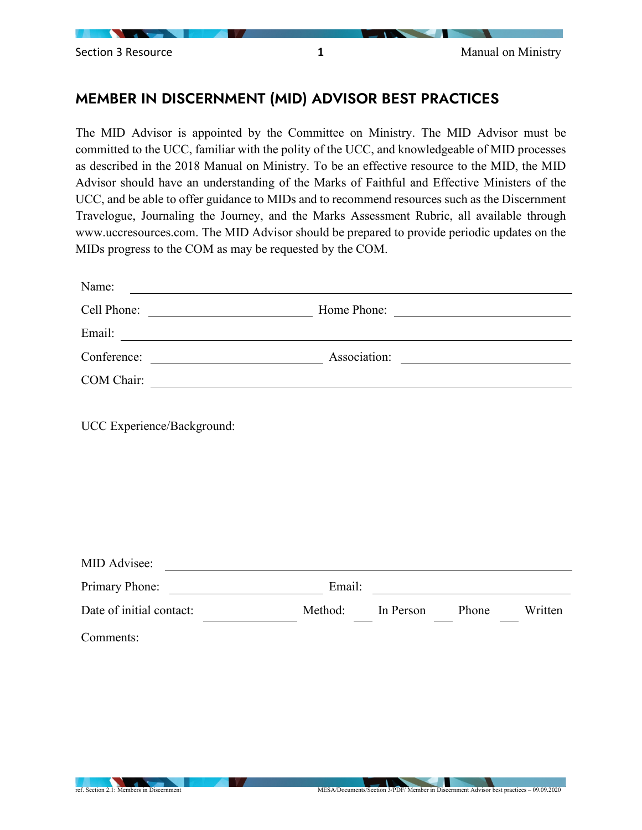

## MEMBER IN DISCERNMENT (MID) ADVISOR BEST PRACTICES

The MID Advisor is appointed by the Committee on Ministry. The MID Advisor must be committed to the UCC, familiar with the polity of the UCC, and knowledgeable of MID processes as described in the 2018 Manual on Ministry. To be an effective resource to the MID, the MID Advisor should have an understanding of the Marks of Faithful and Effective Ministers of the UCC, and be able to offer guidance to MIDs and to recommend resources such as the Discernment Travelogue, Journaling the Journey, and the Marks Assessment Rubric, all available through www.uccresources.com. The MID Advisor should be prepared to provide periodic updates on the MIDs progress to the COM as may be requested by the COM.

| Name:                                                           |                                                           |  |
|-----------------------------------------------------------------|-----------------------------------------------------------|--|
| Cell Phone:                                                     | Home Phone:                                               |  |
| Email:<br><u> 1989 - Johann Stein, fransk politik (d. 1989)</u> |                                                           |  |
| Conference:                                                     | Association:                                              |  |
| COM Chair:                                                      | <u> 1989 - John Stein, Amerikaansk politiker (* 1958)</u> |  |
|                                                                 |                                                           |  |
| UCC Experience/Background:                                      |                                                           |  |

| MID Advisee:             |        |         |           |       |         |  |
|--------------------------|--------|---------|-----------|-------|---------|--|
| Primary Phone:           | Email: |         |           |       |         |  |
| Date of initial contact: |        | Method: | In Person | Phone | Written |  |
| Comments:                |        |         |           |       |         |  |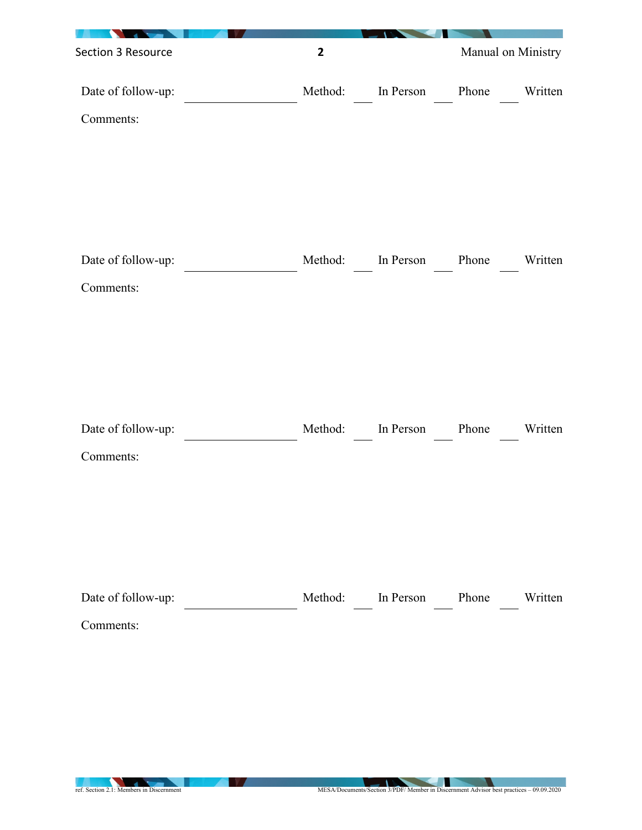| Section 3 Resource              | $\overline{\mathbf{2}}$ |                         |       | Manual on Ministry |
|---------------------------------|-------------------------|-------------------------|-------|--------------------|
| Date of follow-up:              | Method:                 | In Person               | Phone | Written            |
| Comments:                       |                         |                         |       |                    |
|                                 |                         |                         |       |                    |
|                                 |                         |                         |       |                    |
|                                 |                         |                         |       |                    |
| Date of follow-up:              | Method:                 | In Person               | Phone | Written            |
| Comments:                       |                         |                         |       |                    |
|                                 |                         |                         |       |                    |
|                                 |                         |                         |       |                    |
|                                 |                         |                         |       |                    |
|                                 |                         |                         |       |                    |
| Date of follow-up:<br>Comments: | Method:                 | In Person               | Phone | Written            |
|                                 |                         |                         |       |                    |
|                                 |                         |                         |       |                    |
|                                 |                         |                         |       |                    |
|                                 |                         |                         |       |                    |
| Date of follow-up:              |                         | Method: In Person Phone |       | Written            |
| Comments:                       |                         |                         |       |                    |